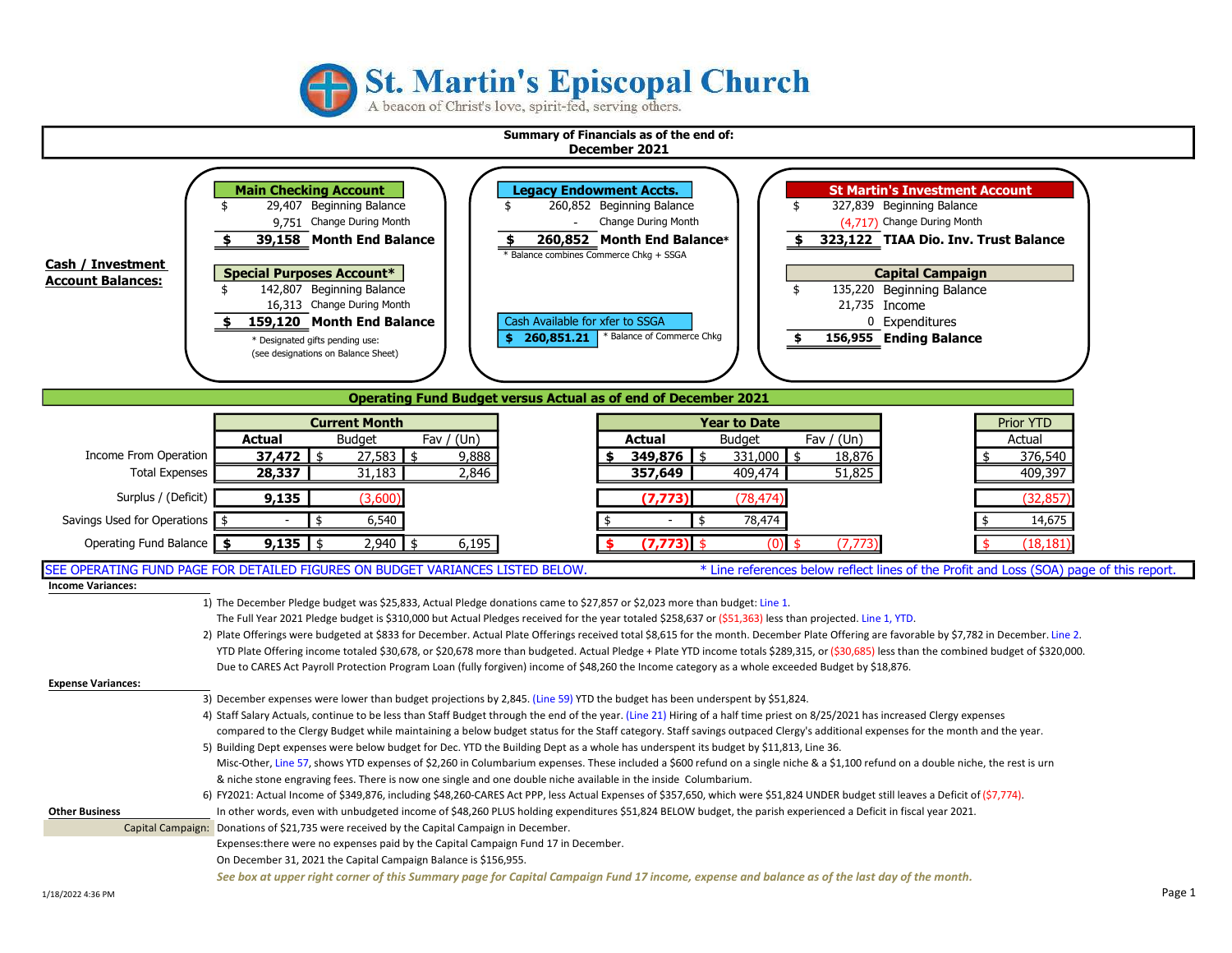

# **St. Martin's Episcopal Church**

A beacon of Christ's love, spirit-fed, serving others.

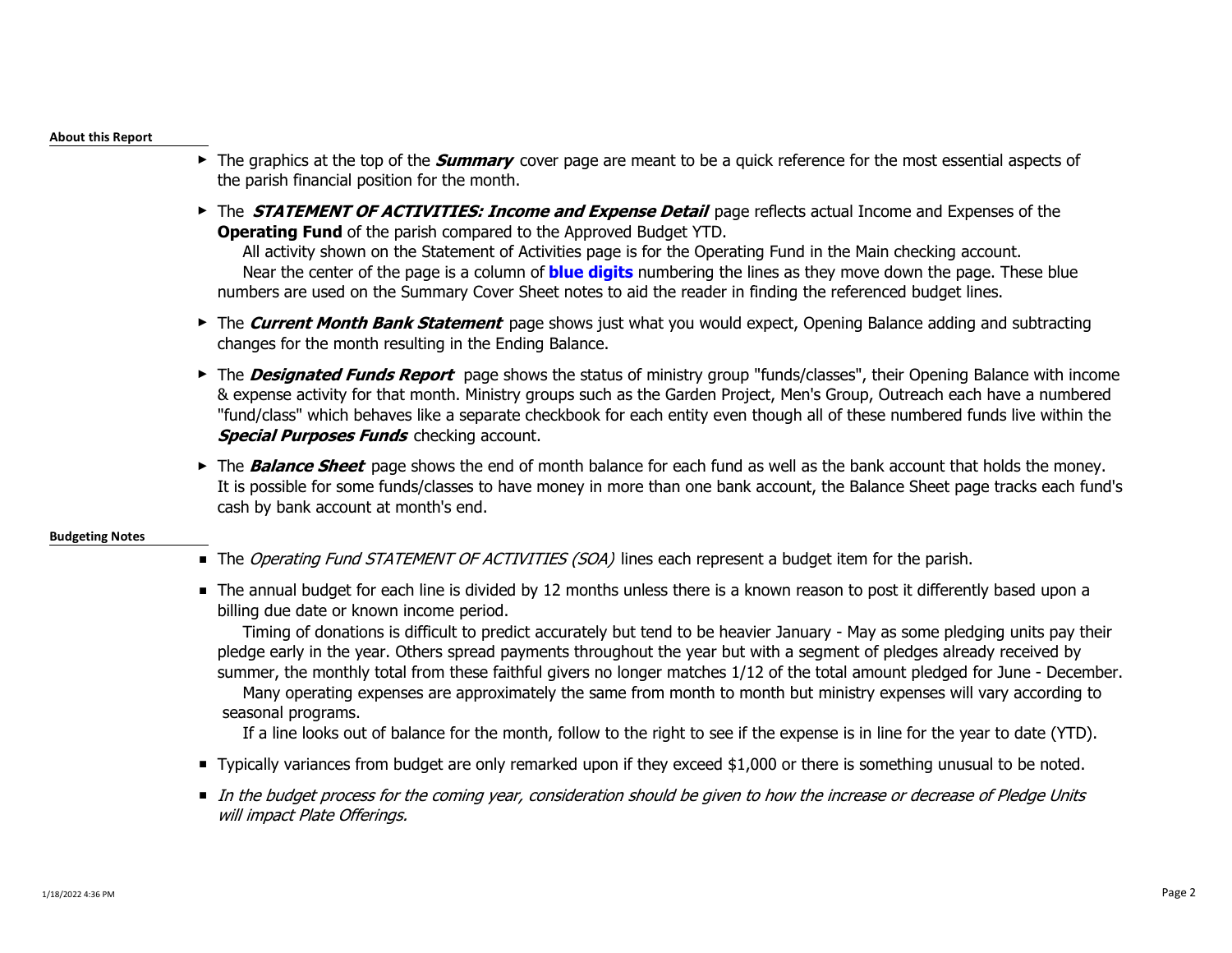#### About this Report

- ► The graphics at the top of the *Summary* cover page are meant to be a quick reference for the most essential aspects of the parish financial position for the month.
- ► The **STATEMENT OF ACTIVITIES: Income and Expense Detail** page reflects actual Income and Expenses of the **Operating Fund** of the parish compared to the Approved Budget YTD.

 All activity shown on the Statement of Activities page is for the Operating Fund in the Main checking account. Near the center of the page is a column of **blue digits** numbering the lines as they move down the page. These blue numbers are used on the Summary Cover Sheet notes to aid the reader in finding the referenced budget lines.

- ► The Current Month Bank Statement page shows just what you would expect, Opening Balance adding and subtracting changes for the month resulting in the Ending Balance.
- ► The **Designated Funds Report** page shows the status of ministry group "funds/classes", their Opening Balance with income & expense activity for that month. Ministry groups such as the Garden Project, Men's Group, Outreach each have a numbered "fund/class" which behaves like a separate checkbook for each entity even though all of these numbered funds live within the **Special Purposes Funds** checking account.
- ► The **Balance Sheet** page shows the end of month balance for each fund as well as the bank account that holds the money. It is possible for some funds/classes to have money in more than one bank account, the Balance Sheet page tracks each fund's cash by bank account at month's end.

## Budgeting Notes

- The *Operating Fund STATEMENT OF ACTIVITIES (SOA)* lines each represent a budget item for the parish.
- The annual budget for each line is divided by 12 months unless there is a known reason to post it differently based upon a billing due date or known income period.

 Timing of donations is difficult to predict accurately but tend to be heavier January - May as some pledging units pay their pledge early in the year. Others spread payments throughout the year but with a segment of pledges already received by summer, the monthly total from these faithful givers no longer matches 1/12 of the total amount pledged for June - December.

 Many operating expenses are approximately the same from month to month but ministry expenses will vary according to seasonal programs.

If a line looks out of balance for the month, follow to the right to see if the expense is in line for the year to date (YTD).

- Typically variances from budget are only remarked upon if they exceed \$1,000 or there is something unusual to be noted.
- In the budget process for the coming year, consideration should be given to how the increase or decrease of Pledge Units will impact Plate Offerings.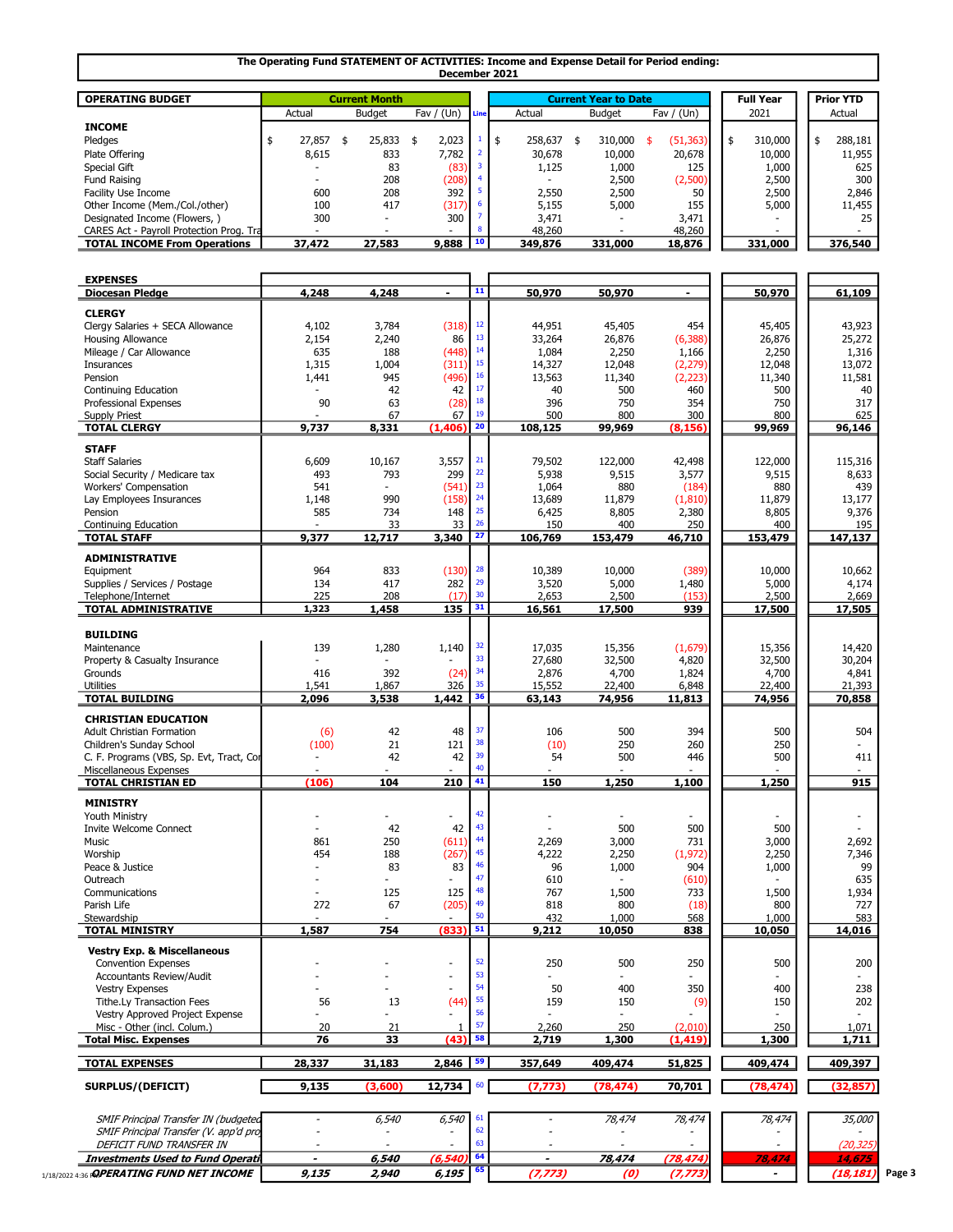#### The Operating Fund STATEMENT OF ACTIVITIES: Income and Expense Detail for Period ending: December 2021

| <b>OPERATING BUDGET</b>                  |                                                 | <b>Current Month</b> |        |               |              | <b>Current Year to Date</b> |           | <b>Full Year</b> |         |        | <b>Prior YTD</b> |         |
|------------------------------------------|-------------------------------------------------|----------------------|--------|---------------|--------------|-----------------------------|-----------|------------------|---------|--------|------------------|---------|
|                                          | Fav / $(Un)$<br><b>Budget</b><br>Actual<br>Line |                      | Actual | <b>Budget</b> | Fav / $(Un)$ |                             | 2021      |                  |         | Actual |                  |         |
| <b>INCOME</b>                            |                                                 |                      |        |               |              |                             |           |                  |         |        |                  |         |
| Pledges                                  | 27,857                                          | 25,833               | 2,023  |               | 258,637      | 310,000                     | (51, 363) | - \$             | 310,000 |        |                  | 288,181 |
| Plate Offering                           | 8,615                                           | 833                  | 7.782  |               | 30,678       | 10,000                      | 20,678    |                  | 10,000  |        |                  | 11,955  |
| Special Gift                             |                                                 | 83                   | (83)   |               | 1,125        | 1,000                       | 125       |                  | 1,000   |        |                  | 625     |
| Fund Raising                             |                                                 | 208                  | (208)  |               |              | 2,500                       | (2,500)   |                  | 2,500   |        |                  | 300     |
| Facility Use Income                      | 600                                             | 208                  | 392    |               | 2,550        | 2,500                       | 50        |                  | 2,500   |        |                  | 2,846   |
| Other Income (Mem./Col./other)           | 100                                             | 417                  | (317)  |               | 5.155        | 5,000                       | 155       |                  | 5,000   |        |                  | 11,455  |
| Designated Income (Flowers, )            | 300                                             | <b>.</b>             | 300    |               | 3,471        |                             | 3,471     |                  |         |        |                  | 25      |
| CARES Act - Payroll Protection Prog. Tra |                                                 |                      | $\sim$ |               | 48,260       |                             | 48,260    |                  |         |        |                  |         |
| <b>TOTAL INCOME From Operations</b>      | 37,472                                          | 27,583               | 9,888  |               | 349,876      | 331,000                     | 18,876    |                  | 331,000 |        |                  | 376,540 |

| <b>EXPENSES</b>                                  |                          |                          |                          |            |                |           |                 |                          |                          |
|--------------------------------------------------|--------------------------|--------------------------|--------------------------|------------|----------------|-----------|-----------------|--------------------------|--------------------------|
| <b>Diocesan Pledge</b>                           | 4,248                    | 4,248                    | $\blacksquare$           | 11         | 50,970         | 50,970    | ٠               | 50,970                   | 61,109                   |
|                                                  |                          |                          |                          |            |                |           |                 |                          |                          |
| <b>CLERGY</b>                                    |                          |                          |                          |            |                |           |                 |                          |                          |
| Clergy Salaries + SECA Allowance                 | 4,102                    | 3,784                    | (318)                    | $12\,$     | 44,951         | 45,405    | 454             | 45,405                   | 43,923                   |
| Housing Allowance                                | 2,154                    | 2,240                    | 86                       | 13         | 33,264         | 26,876    | (6, 388)        | 26,876                   | 25,272                   |
| Mileage / Car Allowance                          | 635                      | 188                      | (448)                    | 14         | 1,084          | 2,250     | 1,166           | 2,250                    | 1,316                    |
| Insurances                                       | 1,315                    | 1,004                    | (311)                    | 15         | 14,327         | 12,048    | (2, 279)        | 12,048                   | 13,072                   |
| Pension                                          | 1,441                    | 945                      | (496)                    | $16\,$     | 13,563         | 11,340    | (2, 223)        | 11,340                   | 11,581                   |
| Continuing Education                             |                          | 42                       | 42                       | 17         | 40             | 500       | 460             | 500                      | 40                       |
| Professional Expenses                            | 90                       | 63                       | (28)                     | ${\bf 18}$ | 396            | 750       | 354             | 750                      | 317                      |
|                                                  |                          | 67                       | 67                       | 19         | 500            | 800       |                 | 800                      |                          |
| <b>Supply Priest</b><br><b>TOTAL CLERGY</b>      | 9,737                    | 8,331                    | (1, 406)                 | 20         | 108,125        | 99,969    | 300<br>(8, 156) | 99,969                   | 625<br>96,146            |
|                                                  |                          |                          |                          |            |                |           |                 |                          |                          |
| <b>STAFF</b>                                     |                          |                          |                          |            |                |           |                 |                          |                          |
| <b>Staff Salaries</b>                            | 6,609                    | 10,167                   | 3,557                    | 21         | 79,502         | 122,000   | 42,498          | 122,000                  | 115,316                  |
| Social Security / Medicare tax                   | 493                      | 793                      | 299                      | 22         | 5,938          | 9,515     | 3,577           | 9,515                    | 8,633                    |
| Workers' Compensation                            | 541                      | $\overline{a}$           | (541)                    | 23         | 1,064          | 880       | (184)           | 880                      | 439                      |
| Lav Employees Insurances                         | 1,148                    | 990                      | (158)                    | 24         | 13,689         | 11,879    |                 | 11,879                   | 13,177                   |
|                                                  |                          |                          |                          | 25         |                |           | (1,810)         |                          |                          |
| Pension                                          | 585                      | 734                      | 148                      | 26         | 6,425          | 8,805     | 2,380           | 8,805                    | 9,376                    |
| <b>Continuing Education</b>                      |                          | 33                       | 33                       |            | 150            | 400       | 250             | 400                      | 195                      |
| <b>TOTAL STAFF</b>                               | 9,377                    | 12,717                   | 3,340                    | 27         | 106,769        | 153,479   | 46,710          | 153,479                  | 147,137                  |
| <b>ADMINISTRATIVE</b>                            |                          |                          |                          |            |                |           |                 |                          |                          |
|                                                  |                          |                          |                          | 28         |                |           |                 |                          |                          |
| Equipment                                        | 964                      | 833                      | (130)                    | 29         | 10,389         | 10,000    | (389)           | 10,000                   | 10,662                   |
| Supplies / Services / Postage                    | 134                      | 417                      | 282                      |            | 3,520          | 5,000     | 1,480           | 5,000                    | 4,174                    |
| Telephone/Internet                               | 225                      | 208                      | (17)                     | 30         | 2,653          | 2,500     | (153)           | 2,500                    | 2,669                    |
| <b>TOTAL ADMINISTRATIVE</b>                      | 1,323                    | 1,458                    | 135                      | 31         | 16,561         | 17,500    | 939             | 17,500                   | 17,505                   |
|                                                  |                          |                          |                          |            |                |           |                 |                          |                          |
| <b>BUILDING</b>                                  |                          |                          |                          |            |                |           |                 |                          |                          |
| Maintenance                                      | 139                      | 1,280                    | 1,140                    | 32         | 17,035         | 15,356    | (1,679)         | 15,356                   | 14,420                   |
| Property & Casualty Insurance                    |                          |                          |                          | 33         | 27,680         | 32,500    | 4,820           | 32,500                   | 30,204                   |
| Grounds                                          | 416                      | 392                      | (24)                     | 34         | 2,876          | 4,700     | 1,824           | 4,700                    | 4,841                    |
| <b>Utilities</b>                                 | 1,541                    | 1,867                    | 326                      | 35         | 15,552         | 22,400    | 6,848           | 22,400                   | 21,393                   |
| <b>TOTAL BUILDING</b>                            | 2,096                    | 3,538                    | 1,442                    | 36         | 63,143         | 74,956    | 11,813          | 74,956                   | 70,858                   |
|                                                  |                          |                          |                          |            |                |           |                 |                          |                          |
| <b>CHRISTIAN EDUCATION</b>                       |                          |                          |                          |            |                |           |                 |                          |                          |
| <b>Adult Christian Formation</b>                 | (6)                      | 42                       | 48                       | 37         | 106            | 500       | 394             | 500                      | 504                      |
| Children's Sunday School                         | (100)                    | 21                       | 121                      | 38         | (10)           | 250       | 260             | 250                      |                          |
| C. F. Programs (VBS, Sp. Evt, Tract, Cor         | $\overline{a}$           | 42                       | 42                       | 39         | 54             | 500       | 446             | 500                      | 411                      |
| Miscellaneous Expenses                           | $\overline{\phantom{a}}$ |                          | $\overline{\phantom{a}}$ | 40         |                |           |                 |                          |                          |
| <b>TOTAL CHRISTIAN ED</b>                        | (106)                    | 104                      | 210                      | 41         | 150            | 1,250     | 1,100           | 1,250                    | 915                      |
|                                                  |                          |                          |                          |            |                |           |                 |                          |                          |
| <b>MINISTRY</b>                                  |                          |                          |                          |            |                |           |                 |                          |                          |
| Youth Ministry                                   |                          | $\overline{a}$           |                          | 42         |                |           |                 |                          | $\overline{\phantom{a}}$ |
| <b>Invite Welcome Connect</b>                    |                          | 42                       | 42                       | 43         |                | 500       | 500             | 500                      |                          |
| Music                                            | 861                      | 250                      | (611)                    | 44         | 2,269          | 3,000     | 731             | 3,000                    | 2,692                    |
| Worship                                          | 454                      | 188                      | (267)                    | 45         | 4,222          | 2,250     | (1, 972)        | 2,250                    | 7,346                    |
| Peace & Justice                                  |                          | 83                       | 83                       | 46         | 96             | 1,000     | 904             | 1,000                    | 99                       |
|                                                  |                          |                          | $\overline{a}$           | 47         |                |           |                 |                          |                          |
| Outreach                                         |                          |                          |                          | 48         | 610            |           | (610)           |                          | 635                      |
| Communications                                   |                          | 125                      | 125                      |            | 767            | 1,500     | 733             | 1,500                    | 1,934                    |
| Parish Life                                      | 272                      | 67                       | (205)                    | 49         | 818            | 800       | (18)            | 800                      | 727                      |
| Stewardship                                      |                          |                          |                          | 50         | 432            | 1,000     | 568             | 1,000                    | 583                      |
| <b>TOTAL MINISTRY</b>                            | 1,587                    | 754                      | (833)                    | 51         | 9,212          | 10,050    | 838             | 10,050                   | 14,016                   |
|                                                  |                          |                          |                          |            |                |           |                 |                          |                          |
| <b>Vestry Exp. &amp; Miscellaneous</b>           |                          |                          |                          |            |                |           |                 |                          |                          |
| <b>Convention Expenses</b>                       |                          | $\overline{a}$           | $\overline{a}$           | 52         | 250            | 500       | 250             | 500                      | 200                      |
| Accountants Review/Audit                         |                          |                          |                          |            |                |           |                 |                          |                          |
| <b>Vestry Expenses</b>                           |                          | $\overline{a}$           |                          | 54         | 50             | 400       | 350             | 400                      | 238                      |
| Tithe.Ly Transaction Fees                        | 56                       | 13                       | (44)                     | 55         | 159            | 150       | (9)             | 150                      | 202                      |
| Vestry Approved Project Expense                  |                          |                          |                          | 56         |                |           |                 |                          |                          |
| Misc - Other (incl. Colum.)                      | 20                       | 21                       | $\mathbf{1}$             | 57         | 2,260          | 250       | (2,010)         | 250                      | 1,071                    |
| <b>Total Misc. Expenses</b>                      | 76                       | 33                       | (43)                     | 58         | 2,719          | 1,300     | (1, 419)        | 1,300                    | 1,711                    |
|                                                  |                          |                          |                          |            |                |           |                 |                          |                          |
| <b>TOTAL EXPENSES</b>                            | 28,337                   | 31,183                   | 2,846                    | 59         | 357,649        | 409,474   | 51,825          | 409,474                  | 409,397                  |
| SURPLUS/(DEFICIT)                                | 9,135                    | (3,600)                  | 12,734                   | 60         | (7, 773)       | (78, 474) | 70,701          | (78, 474)                | (32, 857)                |
|                                                  |                          |                          |                          |            |                |           |                 |                          |                          |
| SMIF Principal Transfer IN (budgeted             |                          | 6,540                    | 6,540                    | 61         |                | 78,474    | 78,474          | 78,474                   | <i>35,000</i>            |
| SMIF Principal Transfer (V. app'd pro            |                          |                          |                          | 62         |                |           |                 |                          |                          |
| DEFICIT FUND TRANSFER IN                         |                          | $\overline{\phantom{a}}$ | $\overline{a}$           | 63         |                |           |                 |                          | (20, 325)                |
|                                                  | $\blacksquare$           |                          |                          | 64         |                |           |                 |                          |                          |
| Investments Used to Fund Operati                 |                          | 6,540                    | (6, 540)                 |            | $\blacksquare$ | 78,474    | (78, 474)       | 78,474                   | 14,675                   |
| 1/18/2022 4:36 <b>:QPERATING FUND NET INCOME</b> | 9,135                    | 2,940                    | 6,195                    | 65         | (7, 773)       | (0)       | (7, 773)        | $\overline{\phantom{a}}$ | (18, 181)<br>Page 3      |
|                                                  |                          |                          |                          |            |                |           |                 |                          |                          |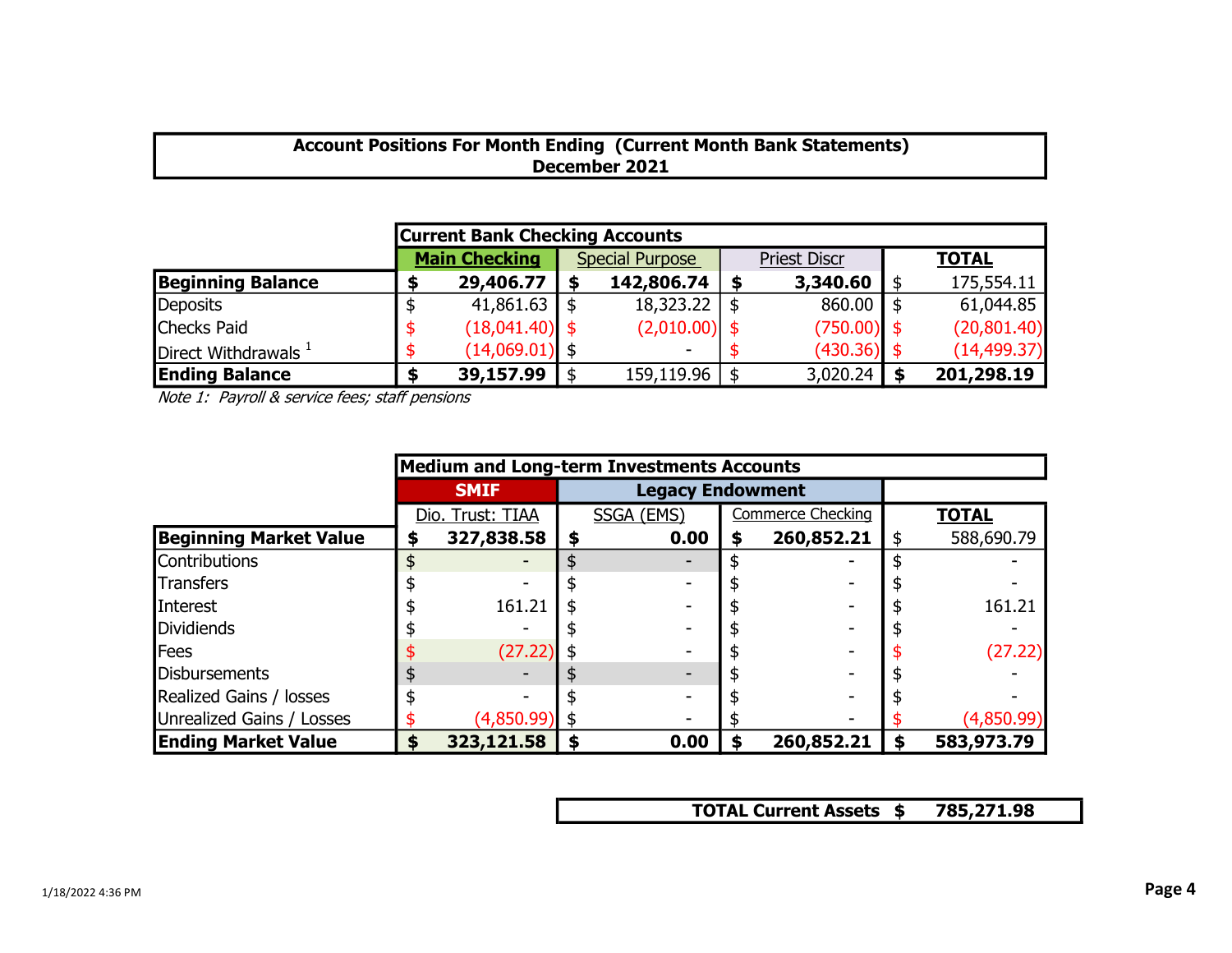# Account Positions For Month Ending (Current Month Bank Statements) December 2021

| <b>Current Bank Checking Accounts</b> |  |                      |                        |                    |  |                     |     |              |  |  |  |  |  |
|---------------------------------------|--|----------------------|------------------------|--------------------|--|---------------------|-----|--------------|--|--|--|--|--|
|                                       |  | <b>Main Checking</b> | <b>Special Purpose</b> |                    |  | <b>Priest Discr</b> |     | <b>TOTAL</b> |  |  |  |  |  |
| <b>Beginning Balance</b>              |  | 29,406.77            |                        | 142,806.74         |  | 3,340.60            | \$  | 175,554.11   |  |  |  |  |  |
| Deposits                              |  | 41,861.63            |                        | $18,323.22$   \$   |  | 860.00              | -\$ | 61,044.85    |  |  |  |  |  |
| Checks Paid                           |  | $(18,041.40)$ \$     |                        | $(2,010.00)$ \$    |  | $(750.00)$ \$       |     | (20, 801.40) |  |  |  |  |  |
| Direct Withdrawals $1$                |  | $(14,069.01)$ \$     |                        |                    |  | $(430.36)$ \$       |     | (14, 499.37) |  |  |  |  |  |
| <b>Ending Balance</b>                 |  | 39,157.99            |                        | $159, 119.96$   \$ |  | 3,020.24            |     | 201,298.19   |  |  |  |  |  |

Note 1: Payroll & service fees; staff pensions

|                               | <b>Medium and Long-term Investments Accounts</b> |                  |   |                         |    |                          |   |              |  |  |  |  |  |
|-------------------------------|--------------------------------------------------|------------------|---|-------------------------|----|--------------------------|---|--------------|--|--|--|--|--|
|                               |                                                  | <b>SMIF</b>      |   | <b>Legacy Endowment</b> |    |                          |   |              |  |  |  |  |  |
|                               |                                                  | Dio. Trust: TIAA |   | SSGA (EMS)              |    | <b>Commerce Checking</b> |   | <b>TOTAL</b> |  |  |  |  |  |
| <b>Beginning Market Value</b> |                                                  | 327,838.58       | S | 0.00                    | \$ | 260,852.21               |   | 588,690.79   |  |  |  |  |  |
| Contributions                 |                                                  |                  |   |                         |    |                          |   |              |  |  |  |  |  |
| <b>Transfers</b>              |                                                  |                  |   |                         |    |                          |   |              |  |  |  |  |  |
| Interest                      |                                                  | 161.21           |   |                         |    |                          |   | 161.21       |  |  |  |  |  |
| <b>I</b> Dividiends           |                                                  |                  |   |                         |    |                          |   |              |  |  |  |  |  |
| <b>I</b> Fees                 |                                                  | (27.22)          |   |                         |    |                          |   | (27.22)      |  |  |  |  |  |
| Disbursements                 |                                                  |                  |   |                         |    |                          |   |              |  |  |  |  |  |
| Realized Gains / losses       |                                                  |                  |   |                         |    |                          |   |              |  |  |  |  |  |
| Unrealized Gains / Losses     |                                                  | (4,850.99)       |   |                         |    |                          |   | (4,850.99)   |  |  |  |  |  |
| <b>Ending Market Value</b>    | S                                                | 323,121.58       |   | 0.00                    | S  | 260,852.21               | S | 583,973.79   |  |  |  |  |  |

TOTAL Current Assets \$ 785,271.98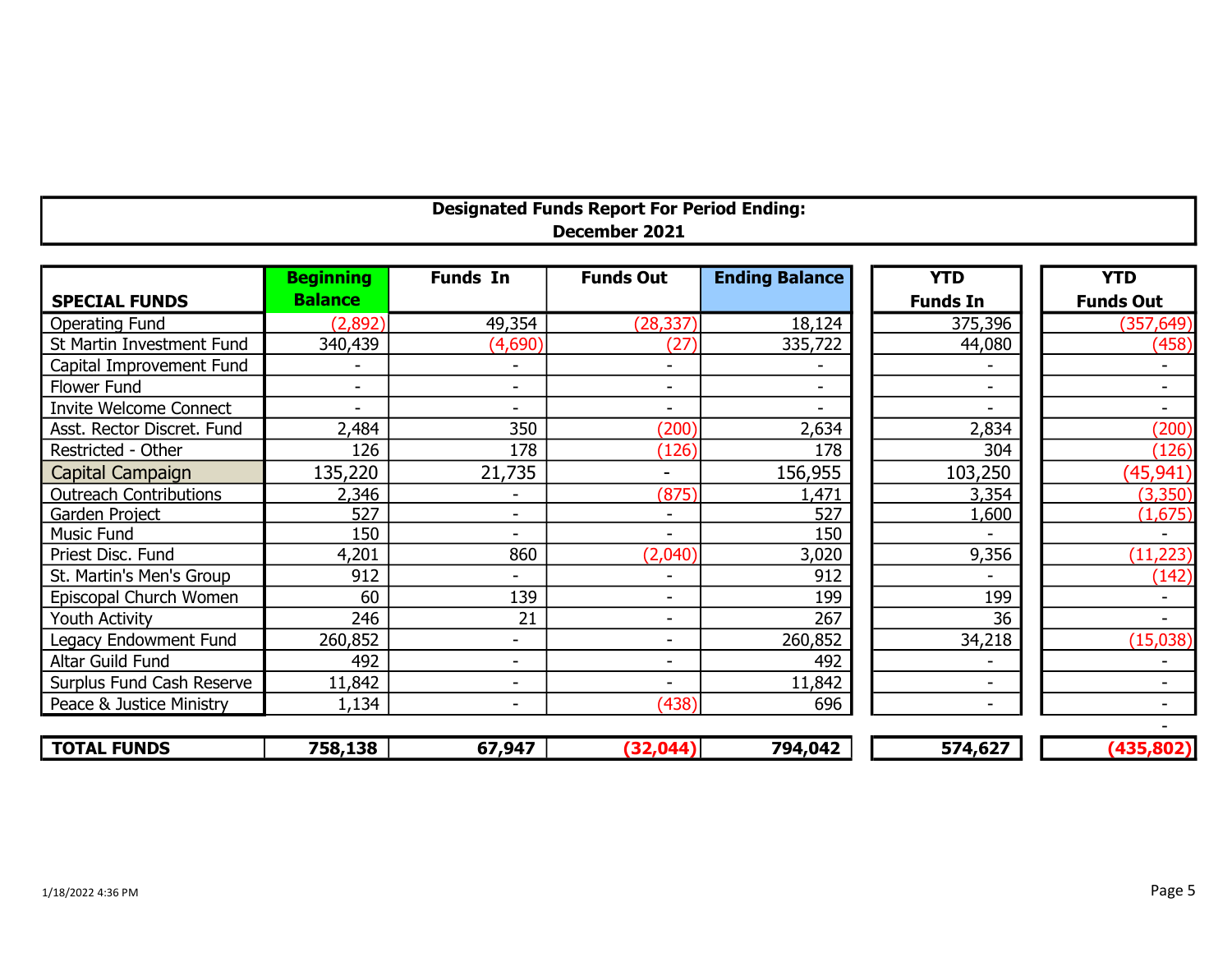| <b>Designated Funds Report For Period Ending:</b> |  |
|---------------------------------------------------|--|
| December 2021                                     |  |
|                                                   |  |

|                               | <b>Beginning</b>         | <b>Funds In</b>          | <b>Funds Out</b>         | <b>Ending Balance</b>    | <b>YTD</b>               | <b>YTD</b>       |
|-------------------------------|--------------------------|--------------------------|--------------------------|--------------------------|--------------------------|------------------|
| <b>SPECIAL FUNDS</b>          | <b>Balance</b>           |                          |                          |                          | <b>Funds In</b>          | <b>Funds Out</b> |
| <b>Operating Fund</b>         | (2,892)                  | 49,354                   | (28, 337)                | 18,124                   | 375,396                  | (357, 649)       |
| St Martin Investment Fund     | 340,439                  | (4,690)                  | (27)                     | 335,722                  | 44,080                   | (458)            |
| Capital Improvement Fund      |                          | $\overline{\phantom{a}}$ |                          |                          |                          |                  |
| Flower Fund                   | $\overline{\phantom{a}}$ | $\overline{\phantom{a}}$ | $\overline{\phantom{a}}$ | $\overline{\phantom{0}}$ | $\overline{\phantom{a}}$ |                  |
| <b>Invite Welcome Connect</b> | $\overline{\phantom{a}}$ | $\overline{\phantom{a}}$ |                          |                          |                          |                  |
| Asst. Rector Discret. Fund    | 2,484                    | 350                      | (200)                    | 2,634                    | 2,834                    | (200)            |
| Restricted - Other            | 126                      | 178                      | (126)                    | 178                      | 304                      | (126)            |
| Capital Campaign              | 135,220                  | 21,735                   | -                        | 156,955                  | 103,250                  | (45, 941)        |
| <b>Outreach Contributions</b> | 2,346                    |                          | (875)                    | ,471                     | 3,354                    | (3,350)          |
| Garden Project                | 527                      | $\overline{\phantom{0}}$ |                          | 527                      | 1,600                    | (1,675)          |
| <b>Music Fund</b>             | 150                      | $\overline{\phantom{a}}$ | $\overline{\phantom{a}}$ | 150                      |                          |                  |
| Priest Disc. Fund             | 4,201                    | 860                      | (2,040)                  | 3,020                    | 9,356                    | (11, 223)        |
| St. Martin's Men's Group      | 912                      |                          |                          | 912                      |                          | (142)            |
| Episcopal Church Women        | 60                       | 139                      | $\overline{\phantom{a}}$ | 199                      | 199                      |                  |
| <b>Youth Activity</b>         | 246                      | 21                       | $\overline{\phantom{a}}$ | 267                      | 36                       |                  |
| Legacy Endowment Fund         | 260,852                  | $\overline{\phantom{0}}$ | $\overline{\phantom{0}}$ | 260,852                  | 34,218                   | (15,038)         |
| Altar Guild Fund              | 492                      | $\overline{\phantom{a}}$ |                          | 492                      |                          |                  |
| Surplus Fund Cash Reserve     | 11,842                   | $\qquad \qquad$          |                          | 11,842                   |                          |                  |
| Peace & Justice Ministry      | 1,134                    | $\overline{\phantom{a}}$ | (438)                    | 696                      | $\overline{\phantom{a}}$ |                  |
|                               |                          |                          |                          |                          |                          |                  |
| <b>TOTAL FUNDS</b>            | 758,138                  | 67,947                   | (32, 044)                | 794,042                  | 574,627                  | (435, 802)       |